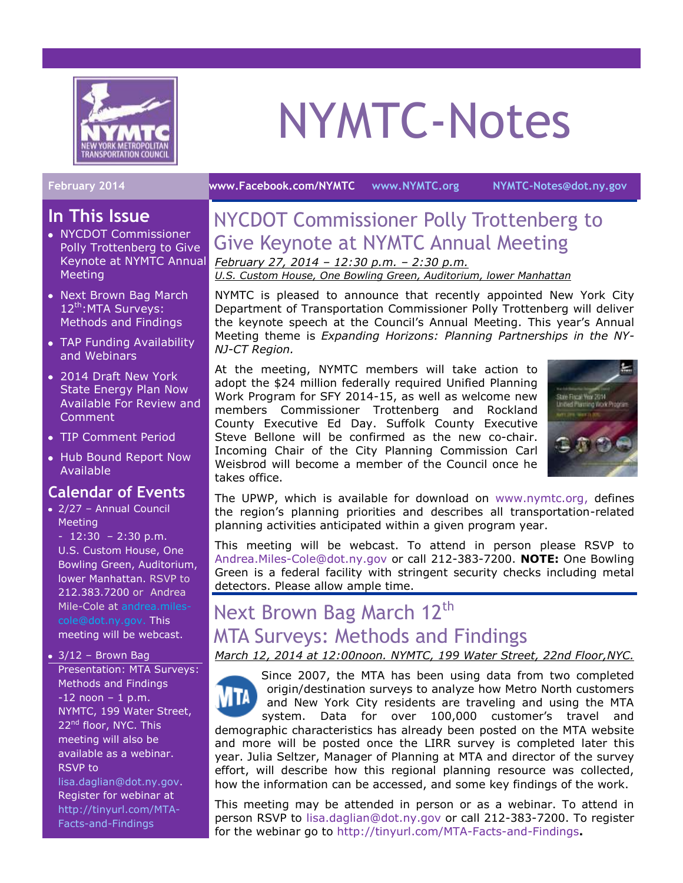

# NYMTC-Notes

#### **February 2014 [www.Facebook.com/NYMTC](http://www.facebook.com/NYMTC) [www.NYMTC.org](http://www.nymtc.org/) [NYMTC-Notes@dot.ny.gov](mailto:NYMTC-Notes@dot.ny.gov)**

#### **In This Issue**

- NYCDOT Commissioner Polly Trottenberg to Give Keynote at NYMTC Annual **Meeting**
- Next Brown Bag March 12<sup>th</sup>:MTA Surveys: Methods and Findings
- TAP Funding Availability and Webinars
- 2014 Draft New York State Energy Plan Now Available For Review and Comment
- TIP Comment Period
- Hub Bound Report Now Available

#### **Calendar of Events**

2/27 – Annual Council Meeting

 $- 12:30 - 2:30$  p.m. U.S. Custom House, One Bowling Green, Auditorium, lower Manhattan. RSVP to 212.383.7200 or Andrea Mile-Cole at [andrea.miles](mailto:andrea.miles-cole@dot.ny.gov)[cole@dot.ny.gov.](mailto:andrea.miles-cole@dot.ny.gov) This meeting will be webcast.

 $\bullet$  3/12 - Brown Bag Presentation: MTA Surveys: Methods and Findings  $-12$  noon  $-1$  p.m. NYMTC, 199 Water Street, 22<sup>nd</sup> floor, NYC. This meeting will also be available as a webinar. RSVP to

[lisa.daglian@dot.ny.gov.](mailto:lisa.daglian@dot.ny.gov) Register for webinar at [http://tinyurl.com/MTA-](http://tinyurl.com/MTA-Facts-and-Findings)[Facts-and-Findings](http://tinyurl.com/MTA-Facts-and-Findings)

# NYCDOT Commissioner Polly Trottenberg to Give Keynote at NYMTC Annual Meeting

*February 27, 2014 – 12:30 p.m. – 2:30 p.m. U.S. Custom House, One Bowling Green, Auditorium, lower Manhattan*

NYMTC is pleased to announce that recently appointed New York City Department of Transportation Commissioner Polly Trottenberg will deliver the keynote speech at the Council's Annual Meeting. This year's Annual Meeting theme is *Expanding Horizons: Planning Partnerships in the NY-NJ-CT Region.*

At the meeting, NYMTC members will take action to adopt the \$24 million federally required Unified Planning Work Program for SFY 2014-15, as well as welcome new members Commissioner Trottenberg and Rockland County Executive Ed Day. Suffolk County Executive Steve Bellone will be confirmed as the new co-chair. Incoming Chair of the City Planning Commission Carl Weisbrod will become a member of the Council once he takes office.



The UPWP, which is available for download on [www.nymtc.org,](http://www.nymtc.org/) defines the region's planning priorities and describes all transportation-related planning activities anticipated within a given program year.

This meeting will be webcast. To attend in person please RSVP to [Andrea.Miles-Cole@dot.ny.gov](mailto:Andrea.Miles-Cole@dot.ny.gov) or call 212-383-7200. **NOTE:** One Bowling Green is a federal facility with stringent security checks including metal detectors. Please allow ample time.

## Next Brown Bag March 12<sup>th</sup> MTA Surveys: Methods and Findings

*March 12, 2014 at 12:00noon. NYMTC, 199 Water Street, 22nd Floor,NYC.*

Since 2007, the MTA has been using data from two completed origin/destination surveys to analyze how Metro North customers and New York City residents are traveling and using the MTA system. Data for over 100,000 customer's travel and demographic characteristics has already been posted on the MTA website and more will be posted once the LIRR survey is completed later this year. Julia Seltzer, Manager of Planning at MTA and director of the survey effort, will describe how this regional planning resource was collected, how the information can be accessed, and some key findings of the work.

This meeting may be attended in person or as a webinar. To attend in person RSVP to lisa.daglian@dot.ny.gov or call 212-383-7200. To register for the webinar go to<http://tinyurl.com/MTA-Facts-and-Findings>**.**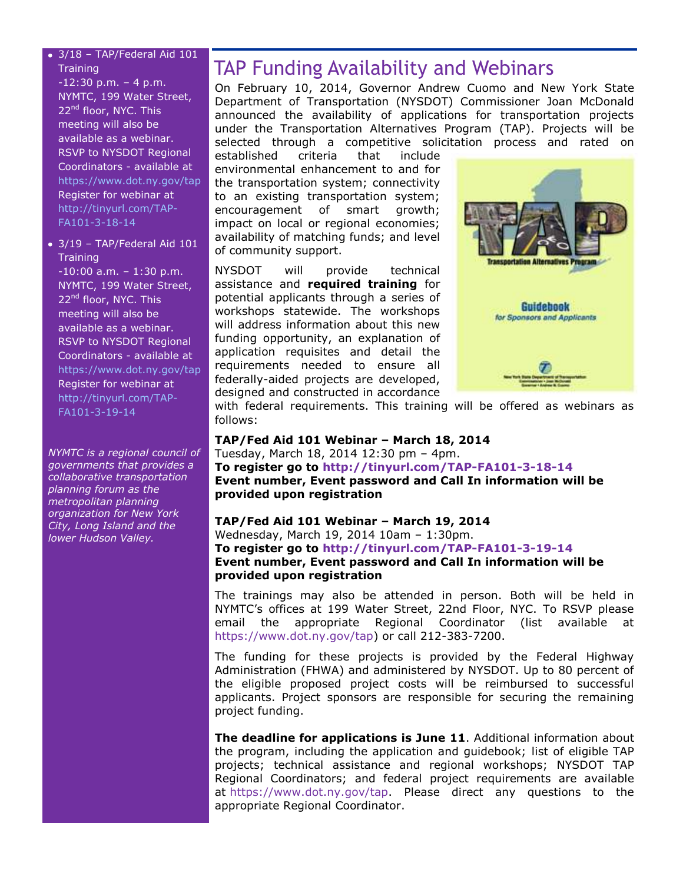#### 3/18 – TAP/Federal Aid 101 **Training**

 $-12:30$  p.m.  $-4$  p.m. NYMTC, 199 Water Street, 22<sup>nd</sup> floor, NYC. This meeting will also be available as a webinar. RSVP to NYSDOT Regional Coordinators - available at <https://www.dot.ny.gov/tap> Register for webinar at [http://tinyurl.com/TAP-](http://tinyurl.com/TAP-FA101-3-18-14)[FA101-3-18-14](http://tinyurl.com/TAP-FA101-3-18-14)

3/19 – TAP/Federal Aid 101 **Training** 

 $-10:00$  a.m.  $-1:30$  p.m. NYMTC, 199 Water Street, 22<sup>nd</sup> floor, NYC. This meeting will also be available as a webinar. RSVP to NYSDOT Regional Coordinators - available at <https://www.dot.ny.gov/tap> Register for webinar at [http://tinyurl.com/TAP-](http://tinyurl.com/TAP-FA101-3-19-14)[FA101-3-19-14](http://tinyurl.com/TAP-FA101-3-19-14)

*NYMTC is a regional council of governments that provides a collaborative transportation planning forum as the metropolitan planning organization for New York City, Long Island and the lower Hudson Valley.*

## TAP Funding Availability and Webinars

On February 10, 2014, Governor Andrew Cuomo and New York State Department of Transportation (NYSDOT) Commissioner Joan McDonald announced the availability of applications for transportation projects under the Transportation Alternatives Program (TAP). Projects will be selected through a competitive solicitation process and rated on

established criteria that include environmental enhancement to and for the transportation system; connectivity to an existing transportation system; encouragement of smart growth; impact on local or regional economies; availability of matching funds; and level of community support.

NYSDOT will provide technical assistance and **required training** for potential applicants through a series of workshops statewide. The workshops will address information about this new funding opportunity, an explanation of application requisites and detail the requirements needed to ensure all federally-aided projects are developed, designed and constructed in accordance



with federal requirements. This training will be offered as webinars as follows:

**TAP/Fed Aid 101 Webinar – March 18, 2014** Tuesday, March 18, 2014 12:30 pm – 4pm. **To register go to<http://tinyurl.com/TAP-FA101-3-18-14> Event number, Event password and Call In information will be provided upon registration**

#### **TAP/Fed Aid 101 Webinar – March 19, 2014** Wednesday, March 19, 2014 10am – 1:30pm. **To register go to<http://tinyurl.com/TAP-FA101-3-19-14> Event number, Event password and Call In information will be provided upon registration**

The trainings may also be attended in person. Both will be held in NYMTC's offices at 199 Water Street, 22nd Floor, NYC. To RSVP please email the appropriate Regional Coordinator (list available at [https://www.dot.ny.gov/tap\)](https://www.dot.ny.gov/tap) or call 212-383-7200.

The funding for these projects is provided by the Federal Highway Administration (FHWA) and administered by NYSDOT. Up to 80 percent of the eligible proposed project costs will be reimbursed to successful applicants. Project sponsors are responsible for securing the remaining project funding.

**The deadline for applications is June 11**. Additional information about the program, including the application and guidebook; list of eligible TAP projects; technical assistance and regional workshops; NYSDOT TAP Regional Coordinators; and federal project requirements are available at [https://www.dot.ny.gov/tap.](https://www.dot.ny.gov/tap) Please direct any questions to the appropriate Regional Coordinator.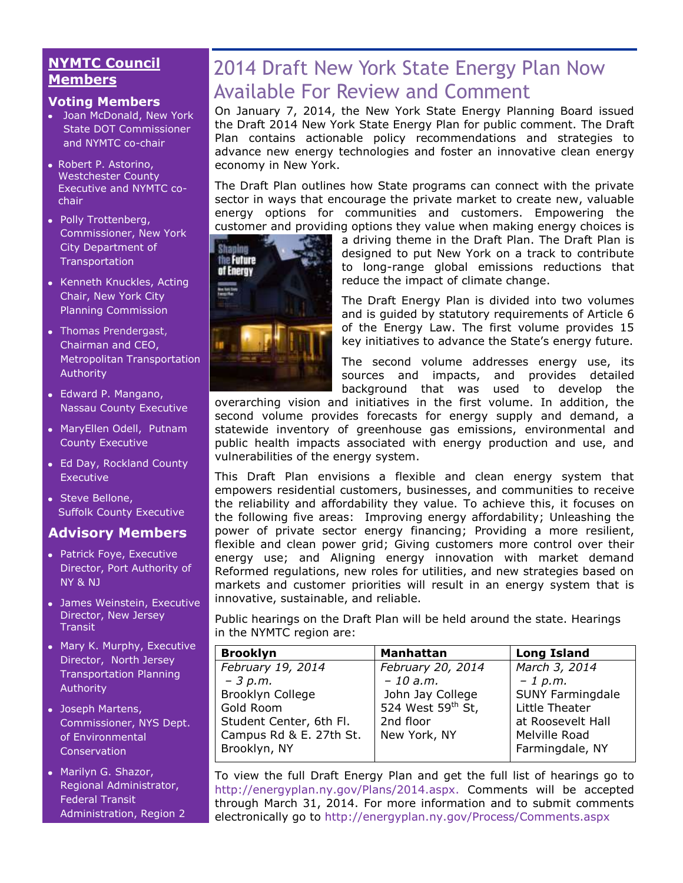#### **NYMTC Council Members**

#### **Voting Members**

- Joan McDonald, New York State DOT Commissioner and NYMTC co-chair
- Robert P. Astorino, Westchester County Executive and NYMTC cochair
- Polly Trottenberg, Commissioner, New York City Department of **Transportation**
- Kenneth Knuckles, Acting Chair, New York City Planning Commission
- [Thomas Prendergast,](http://www.mta.info/mta/leadership/ferrer.htm) Chairman and CEO, Metropolitan Transportation Authority
- Edward P. Mangano, Nassau County Executive
- MaryEllen Odell, Putnam County Executive
- Ed Day, Rockland County Executive
- Steve Bellone, Suffolk County Executive

#### **Advisory Members**

- Patrick Foye, Executive Director, Port Authority of NY & NJ
- James Weinstein, Executive Director, New Jersey **Transit**
- Mary K. Murphy, Executive Director, North Jersey Transportation Planning Authority
- Joseph Martens, Commissioner, NYS Dept. of Environmental **Conservation**
- Marilyn G. Shazor, Regional Administrator, Federal Transit Administration, Region 2

# 2014 Draft New York State Energy Plan Now Available For Review and Comment

On January 7, 2014, the New York State Energy Planning Board issued the Draft 2014 New York State Energy Plan for public comment. The Draft Plan contains actionable policy recommendations and strategies to advance new energy technologies and foster an innovative clean energy economy in New York.

The Draft Plan outlines how State programs can connect with the private sector in ways that encourage the private market to create new, valuable energy options for communities and customers. Empowering the customer and providing options they value when making energy choices is



a driving theme in the Draft Plan. The Draft Plan is designed to put New York on a track to contribute to long-range global emissions reductions that reduce the impact of climate change.

The Draft Energy Plan is divided into two volumes and is guided by statutory requirements of Article 6 of the Energy Law. The first volume provides 15 key initiatives to advance the State's energy future.

The second volume addresses energy use, its sources and impacts, and provides detailed background that was used to develop the

overarching vision and initiatives in the first volume. In addition, the second volume provides forecasts for energy supply and demand, a statewide inventory of greenhouse gas emissions, environmental and public health impacts associated with energy production and use, and vulnerabilities of the energy system.

This Draft Plan envisions a flexible and clean energy system that empowers residential customers, businesses, and communities to receive the reliability and affordability they value. To achieve this, it focuses on the following five areas: Improving energy affordability; Unleashing the power of private sector energy financing; Providing a more resilient, flexible and clean power grid; Giving customers more control over their energy use; and Aligning energy innovation with market demand Reformed regulations, new roles for utilities, and new strategies based on markets and customer priorities will result in an energy system that is innovative, sustainable, and reliable.

Public hearings on the Draft Plan will be held around the state. Hearings in the NYMTC region are:

| <b>Brooklyn</b>         | <b>Manhattan</b>  | <b>Long Island</b>      |
|-------------------------|-------------------|-------------------------|
| February 19, 2014       | February 20, 2014 | March 3, 2014           |
| $-3 p.m.$               | $-10$ a.m.        | $-1$ p.m.               |
| Brooklyn College        | John Jay College  | <b>SUNY Farmingdale</b> |
| Gold Room               | 524 West 59th St, | Little Theater          |
| Student Center, 6th Fl. | 2nd floor         | at Roosevelt Hall       |
| Campus Rd & E. 27th St. | New York, NY      | Melville Road           |
| Brooklyn, NY            |                   | Farmingdale, NY         |
|                         |                   |                         |

To view the full Draft Energy Plan and get the full list of hearings go to [http://energyplan.ny.gov/Plans/2014.aspx.](http://energyplan.ny.gov/Plans/2014.aspx) Comments will be accepted through March 31, 2014. For more information and to submit comments electronically go to<http://energyplan.ny.gov/Process/Comments.aspx>